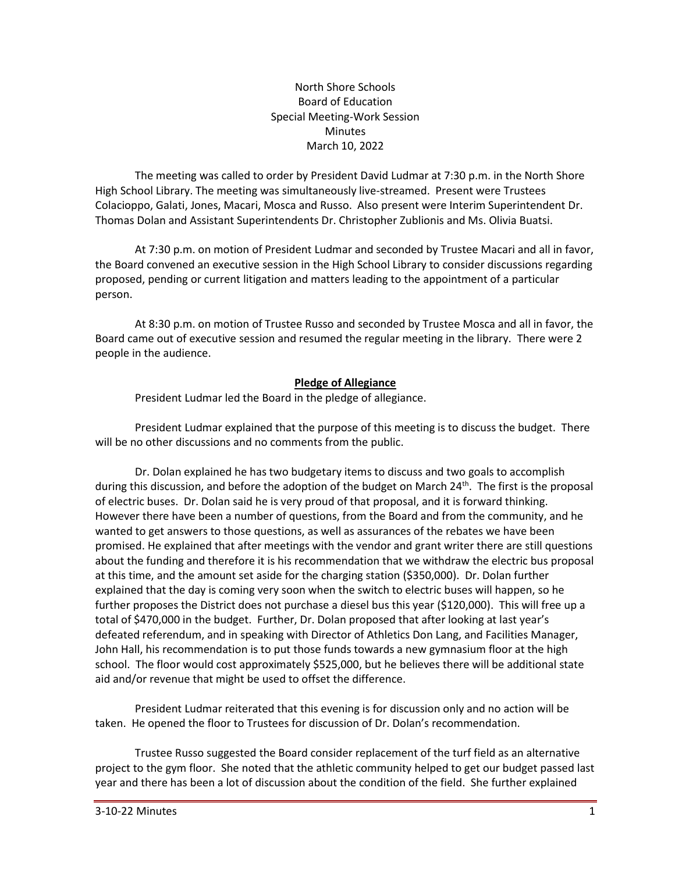North Shore Schools Board of Education Special Meeting-Work Session Minutes March 10, 2022

The meeting was called to order by President David Ludmar at 7:30 p.m. in the North Shore High School Library. The meeting was simultaneously live-streamed. Present were Trustees Colacioppo, Galati, Jones, Macari, Mosca and Russo. Also present were Interim Superintendent Dr. Thomas Dolan and Assistant Superintendents Dr. Christopher Zublionis and Ms. Olivia Buatsi.

At 7:30 p.m. on motion of President Ludmar and seconded by Trustee Macari and all in favor, the Board convened an executive session in the High School Library to consider discussions regarding proposed, pending or current litigation and matters leading to the appointment of a particular person.

At 8:30 p.m. on motion of Trustee Russo and seconded by Trustee Mosca and all in favor, the Board came out of executive session and resumed the regular meeting in the library. There were 2 people in the audience.

## **Pledge of Allegiance**

President Ludmar led the Board in the pledge of allegiance.

President Ludmar explained that the purpose of this meeting is to discuss the budget. There will be no other discussions and no comments from the public.

Dr. Dolan explained he has two budgetary items to discuss and two goals to accomplish during this discussion, and before the adoption of the budget on March  $24<sup>th</sup>$ . The first is the proposal of electric buses. Dr. Dolan said he is very proud of that proposal, and it is forward thinking. However there have been a number of questions, from the Board and from the community, and he wanted to get answers to those questions, as well as assurances of the rebates we have been promised. He explained that after meetings with the vendor and grant writer there are still questions about the funding and therefore it is his recommendation that we withdraw the electric bus proposal at this time, and the amount set aside for the charging station (\$350,000). Dr. Dolan further explained that the day is coming very soon when the switch to electric buses will happen, so he further proposes the District does not purchase a diesel bus this year (\$120,000). This will free up a total of \$470,000 in the budget. Further, Dr. Dolan proposed that after looking at last year's defeated referendum, and in speaking with Director of Athletics Don Lang, and Facilities Manager, John Hall, his recommendation is to put those funds towards a new gymnasium floor at the high school. The floor would cost approximately \$525,000, but he believes there will be additional state aid and/or revenue that might be used to offset the difference.

President Ludmar reiterated that this evening is for discussion only and no action will be taken. He opened the floor to Trustees for discussion of Dr. Dolan's recommendation.

Trustee Russo suggested the Board consider replacement of the turf field as an alternative project to the gym floor. She noted that the athletic community helped to get our budget passed last year and there has been a lot of discussion about the condition of the field. She further explained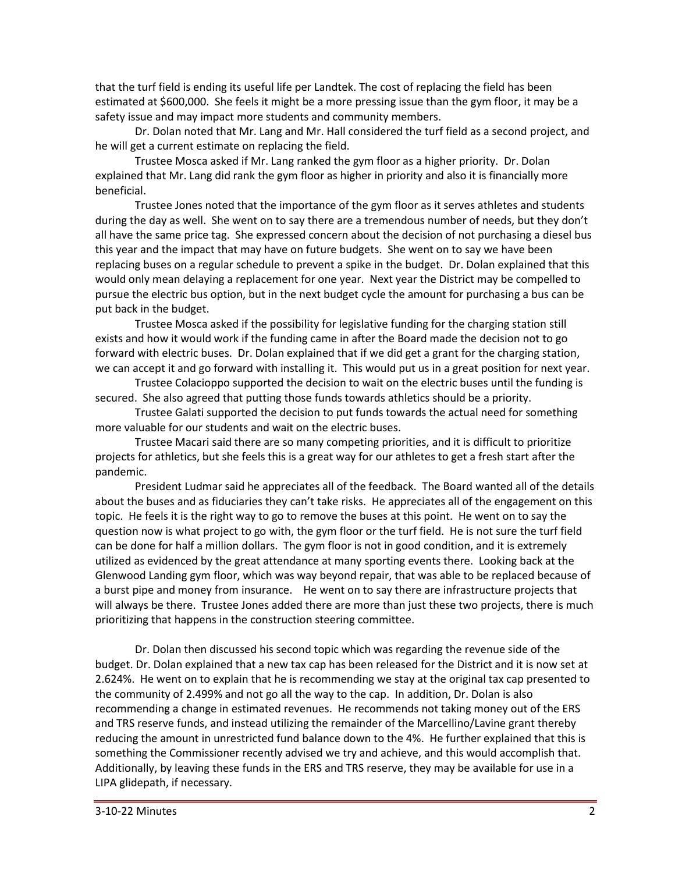that the turf field is ending its useful life per Landtek. The cost of replacing the field has been estimated at \$600,000. She feels it might be a more pressing issue than the gym floor, it may be a safety issue and may impact more students and community members.

Dr. Dolan noted that Mr. Lang and Mr. Hall considered the turf field as a second project, and he will get a current estimate on replacing the field.

Trustee Mosca asked if Mr. Lang ranked the gym floor as a higher priority. Dr. Dolan explained that Mr. Lang did rank the gym floor as higher in priority and also it is financially more beneficial.

Trustee Jones noted that the importance of the gym floor as it serves athletes and students during the day as well. She went on to say there are a tremendous number of needs, but they don't all have the same price tag. She expressed concern about the decision of not purchasing a diesel bus this year and the impact that may have on future budgets. She went on to say we have been replacing buses on a regular schedule to prevent a spike in the budget. Dr. Dolan explained that this would only mean delaying a replacement for one year. Next year the District may be compelled to pursue the electric bus option, but in the next budget cycle the amount for purchasing a bus can be put back in the budget.

Trustee Mosca asked if the possibility for legislative funding for the charging station still exists and how it would work if the funding came in after the Board made the decision not to go forward with electric buses. Dr. Dolan explained that if we did get a grant for the charging station, we can accept it and go forward with installing it. This would put us in a great position for next year.

Trustee Colacioppo supported the decision to wait on the electric buses until the funding is secured. She also agreed that putting those funds towards athletics should be a priority.

Trustee Galati supported the decision to put funds towards the actual need for something more valuable for our students and wait on the electric buses.

Trustee Macari said there are so many competing priorities, and it is difficult to prioritize projects for athletics, but she feels this is a great way for our athletes to get a fresh start after the pandemic.

President Ludmar said he appreciates all of the feedback. The Board wanted all of the details about the buses and as fiduciaries they can't take risks. He appreciates all of the engagement on this topic. He feels it is the right way to go to remove the buses at this point. He went on to say the question now is what project to go with, the gym floor or the turf field. He is not sure the turf field can be done for half a million dollars. The gym floor is not in good condition, and it is extremely utilized as evidenced by the great attendance at many sporting events there. Looking back at the Glenwood Landing gym floor, which was way beyond repair, that was able to be replaced because of a burst pipe and money from insurance. He went on to say there are infrastructure projects that will always be there. Trustee Jones added there are more than just these two projects, there is much prioritizing that happens in the construction steering committee.

Dr. Dolan then discussed his second topic which was regarding the revenue side of the budget. Dr. Dolan explained that a new tax cap has been released for the District and it is now set at 2.624%. He went on to explain that he is recommending we stay at the original tax cap presented to the community of 2.499% and not go all the way to the cap. In addition, Dr. Dolan is also recommending a change in estimated revenues. He recommends not taking money out of the ERS and TRS reserve funds, and instead utilizing the remainder of the Marcellino/Lavine grant thereby reducing the amount in unrestricted fund balance down to the 4%. He further explained that this is something the Commissioner recently advised we try and achieve, and this would accomplish that. Additionally, by leaving these funds in the ERS and TRS reserve, they may be available for use in a LIPA glidepath, if necessary.